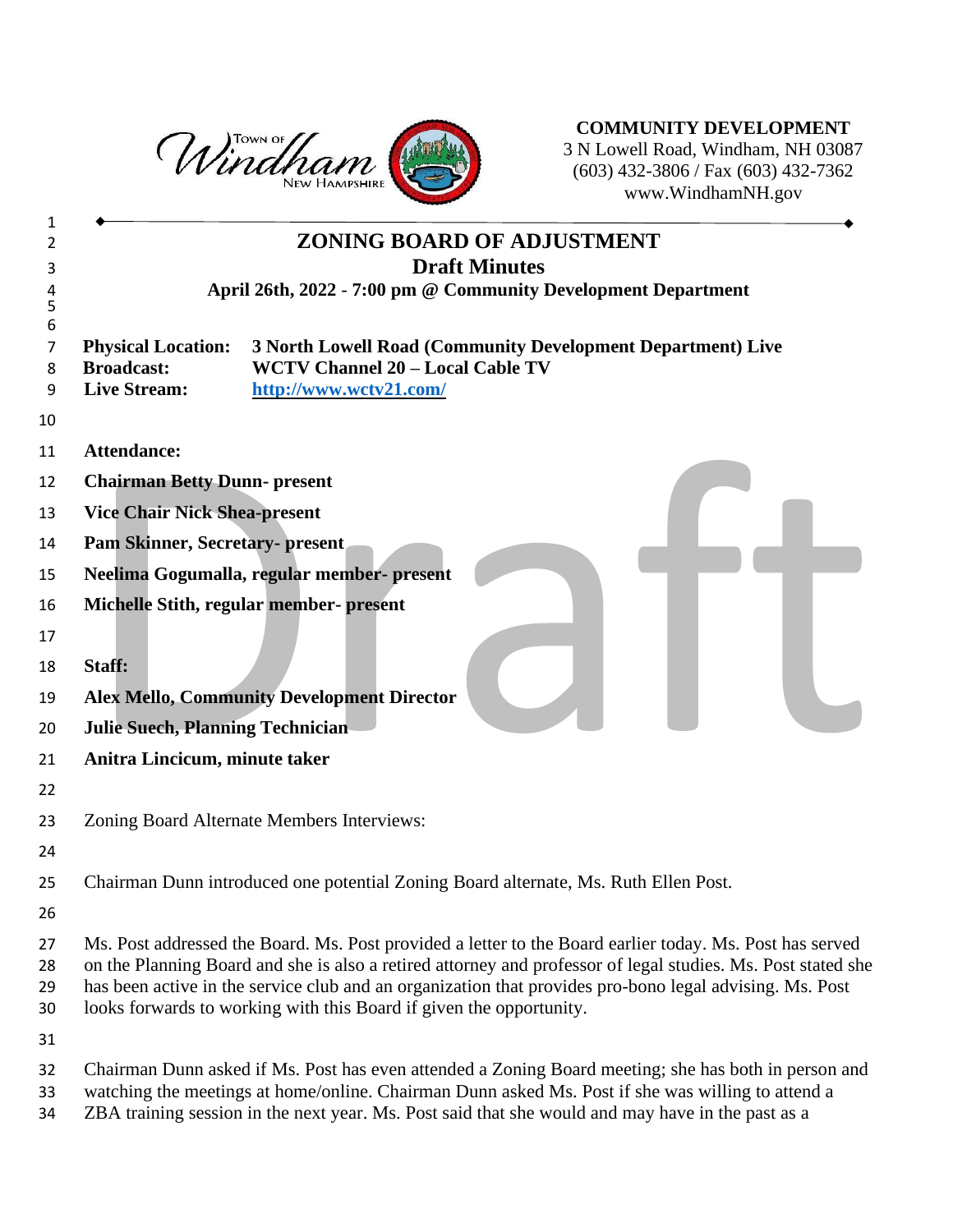

**COMMUNITY DEVELOPMENT** N Lowell Road, Windham, NH 03087 (603) 432-3806 / Fax (603) 432-7362 www.WindhamNH.gov

|                                                                       | <b>ZONING BOARD OF ADJUSTMENT</b>                                                                                                                                                                                                                                                                                                                                                                          |
|-----------------------------------------------------------------------|------------------------------------------------------------------------------------------------------------------------------------------------------------------------------------------------------------------------------------------------------------------------------------------------------------------------------------------------------------------------------------------------------------|
|                                                                       | <b>Draft Minutes</b>                                                                                                                                                                                                                                                                                                                                                                                       |
|                                                                       | April 26th, 2022 - 7:00 pm @ Community Development Department                                                                                                                                                                                                                                                                                                                                              |
| <b>Physical Location:</b><br><b>Broadcast:</b><br><b>Live Stream:</b> | 3 North Lowell Road (Community Development Department) Live<br><b>WCTV Channel 20 - Local Cable TV</b><br>http://www.wctv21.com/                                                                                                                                                                                                                                                                           |
|                                                                       |                                                                                                                                                                                                                                                                                                                                                                                                            |
| <b>Attendance:</b>                                                    |                                                                                                                                                                                                                                                                                                                                                                                                            |
| <b>Chairman Betty Dunn- present</b>                                   |                                                                                                                                                                                                                                                                                                                                                                                                            |
| <b>Vice Chair Nick Shea-present</b>                                   |                                                                                                                                                                                                                                                                                                                                                                                                            |
| <b>Pam Skinner, Secretary- present</b>                                |                                                                                                                                                                                                                                                                                                                                                                                                            |
|                                                                       | Neelima Gogumalla, regular member- present                                                                                                                                                                                                                                                                                                                                                                 |
|                                                                       | Michelle Stith, regular member- present                                                                                                                                                                                                                                                                                                                                                                    |
|                                                                       |                                                                                                                                                                                                                                                                                                                                                                                                            |
| Staff:                                                                |                                                                                                                                                                                                                                                                                                                                                                                                            |
|                                                                       | <b>Alex Mello, Community Development Director</b>                                                                                                                                                                                                                                                                                                                                                          |
| <b>Julie Suech, Planning Technician</b>                               |                                                                                                                                                                                                                                                                                                                                                                                                            |
| Anitra Lincicum, minute taker                                         |                                                                                                                                                                                                                                                                                                                                                                                                            |
|                                                                       |                                                                                                                                                                                                                                                                                                                                                                                                            |
|                                                                       | Zoning Board Alternate Members Interviews:                                                                                                                                                                                                                                                                                                                                                                 |
|                                                                       |                                                                                                                                                                                                                                                                                                                                                                                                            |
|                                                                       | Chairman Dunn introduced one potential Zoning Board alternate, Ms. Ruth Ellen Post.                                                                                                                                                                                                                                                                                                                        |
|                                                                       |                                                                                                                                                                                                                                                                                                                                                                                                            |
|                                                                       | Ms. Post addressed the Board. Ms. Post provided a letter to the Board earlier today. Ms. Post has served<br>on the Planning Board and she is also a retired attorney and professor of legal studies. Ms. Post stated she<br>has been active in the service club and an organization that provides pro-bono legal advising. Ms. Post<br>looks forwards to working with this Board if given the opportunity. |
|                                                                       |                                                                                                                                                                                                                                                                                                                                                                                                            |
|                                                                       | Chairman Dunn asked if Ms. Post has even attended a Zoning Board meeting; she has both in person and<br>watching the meetings at home/online. Chairman Dunn asked Ms. Post if she was willing to attend a                                                                                                                                                                                                  |

ZBA training session in the next year. Ms. Post said that she would and may have in the past as a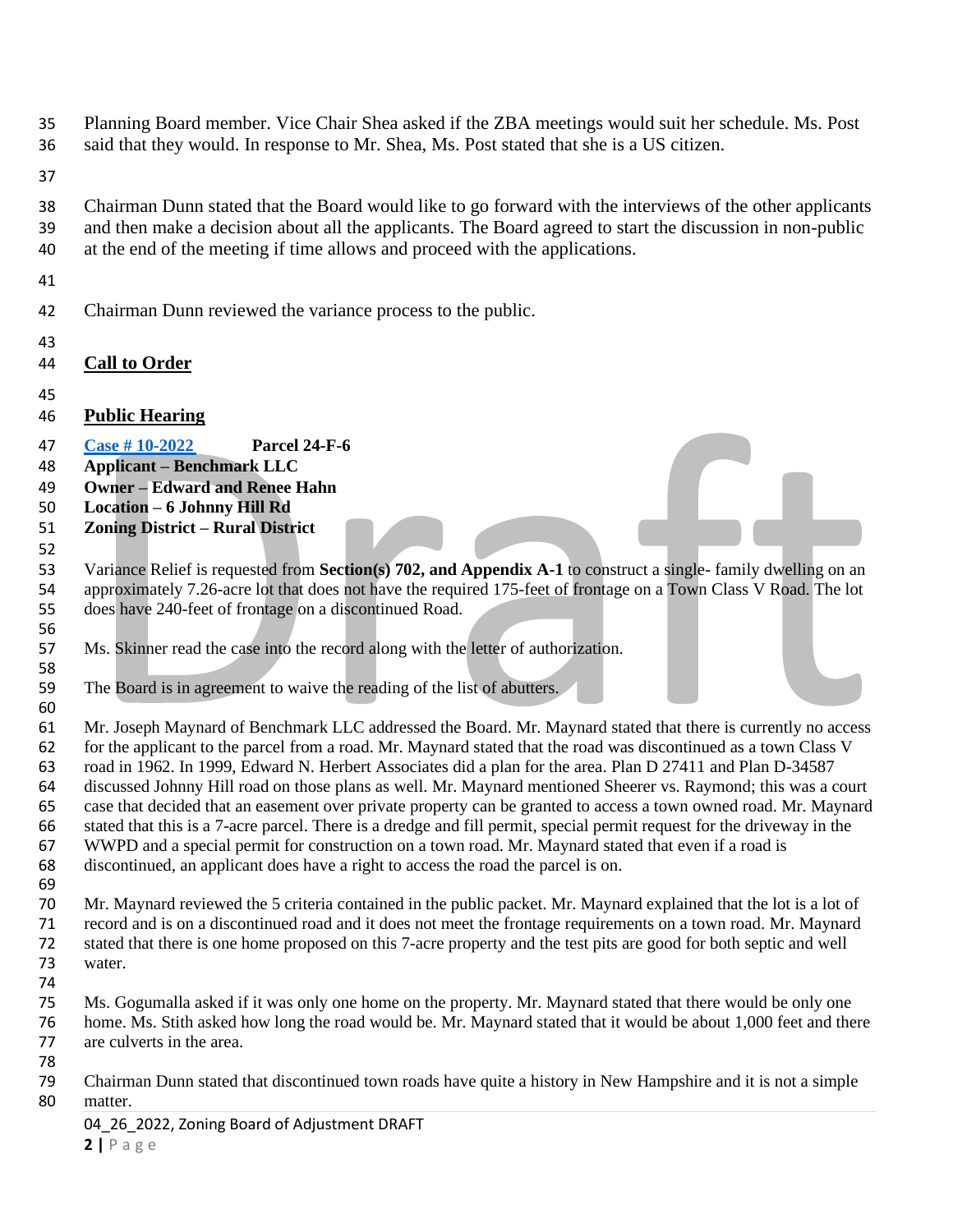- Planning Board member. Vice Chair Shea asked if the ZBA meetings would suit her schedule. Ms. Post
- said that they would. In response to Mr. Shea, Ms. Post stated that she is a US citizen.
- 
- Chairman Dunn stated that the Board would like to go forward with the interviews of the other applicants and then make a decision about all the applicants. The Board agreed to start the discussion in non-public at the end of the meeting if time allows and proceed with the applications.
- 
- Chairman Dunn reviewed the variance process to the public.
- 
- **Call to Order**
- 

- **Public Hearing**
- **[Case # 10-2022](https://www.windhamnh.gov/DocumentCenter/Index/947) Parcel 24-F-6**
- **Applicant – Benchmark LLC**
- **Owner – Edward and Renee Hahn**
- **Location – 6 Johnny Hill Rd**
- **Zoning District – Rural District**

 Variance Relief is requested from **Section(s) 702, and Appendix A-1** to construct a single- family dwelling on an approximately 7.26-acre lot that does not have the required 175-feet of frontage on a Town Class V Road. The lot does have 240-feet of frontage on a discontinued Road.

- Ms. Skinner read the case into the record along with the letter of authorization.
- The Board is in agreement to waive the reading of the list of abutters.
- Mr. Joseph Maynard of Benchmark LLC addressed the Board. Mr. Maynard stated that there is currently no access for the applicant to the parcel from a road. Mr. Maynard stated that the road was discontinued as a town Class V road in 1962. In 1999, Edward N. Herbert Associates did a plan for the area. Plan D 27411 and Plan D-34587 discussed Johnny Hill road on those plans as well. Mr. Maynard mentioned Sheerer vs. Raymond; this was a court case that decided that an easement over private property can be granted to access a town owned road. Mr. Maynard stated that this is a 7-acre parcel. There is a dredge and fill permit, special permit request for the driveway in the WWPD and a special permit for construction on a town road. Mr. Maynard stated that even if a road is discontinued, an applicant does have a right to access the road the parcel is on.
- 
- Mr. Maynard reviewed the 5 criteria contained in the public packet. Mr. Maynard explained that the lot is a lot of record and is on a discontinued road and it does not meet the frontage requirements on a town road. Mr. Maynard stated that there is one home proposed on this 7-acre property and the test pits are good for both septic and well water.
- Ms. Gogumalla asked if it was only one home on the property. Mr. Maynard stated that there would be only one home. Ms. Stith asked how long the road would be. Mr. Maynard stated that it would be about 1,000 feet and there are culverts in the area.
- Chairman Dunn stated that discontinued town roads have quite a history in New Hampshire and it is not a simple matter.
	- 04 26 2022, Zoning Board of Adjustment DRAFT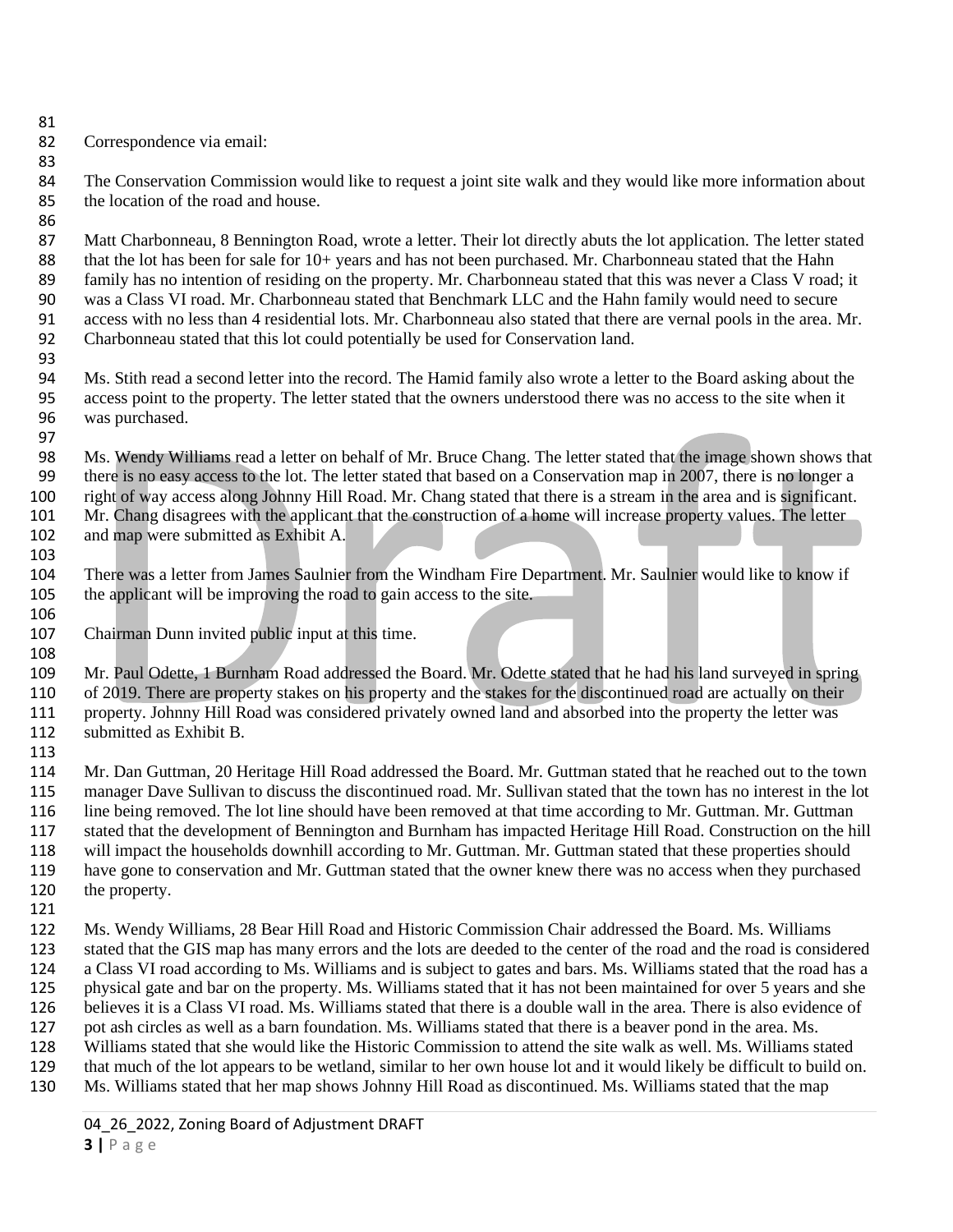Correspondence via email:

 The Conservation Commission would like to request a joint site walk and they would like more information about the location of the road and house.

87 Matt Charbonneau, 8 Bennington Road, wrote a letter. Their lot directly abuts the lot application. The letter stated 88 that the lot has been for sale for 10+ years and has not been purchased. Mr. Charbonneau stated that the Hahn family has no intention of residing on the property. Mr. Charbonneau stated that this was never a Class V road; it 90 was a Class VI road. Mr. Charbonneau stated that Benchmark LLC and the Hahn family would need to secure<br>91 access with no less than 4 residential lots. Mr. Charbonneau also stated that there are vernal pools in the area access with no less than 4 residential lots. Mr. Charbonneau also stated that there are vernal pools in the area. Mr. Charbonneau stated that this lot could potentially be used for Conservation land.

- Ms. Stith read a second letter into the record. The Hamid family also wrote a letter to the Board asking about the access point to the property. The letter stated that the owners understood there was no access to the site when it was purchased.
- Ms. Wendy Williams read a letter on behalf of Mr. Bruce Chang. The letter stated that the image shown shows that there is no easy access to the lot. The letter stated that based on a Conservation map in 2007, there is no longer a right of way access along Johnny Hill Road. Mr. Chang stated that there is a stream in the area and is significant. Mr. Chang disagrees with the applicant that the construction of a home will increase property values. The letter and map were submitted as Exhibit A.
- There was a letter from James Saulnier from the Windham Fire Department. Mr. Saulnier would like to know if the applicant will be improving the road to gain access to the site.
- Chairman Dunn invited public input at this time.
- 

 Mr. Paul Odette, 1 Burnham Road addressed the Board. Mr. Odette stated that he had his land surveyed in spring of 2019. There are property stakes on his property and the stakes for the discontinued road are actually on their property. Johnny Hill Road was considered privately owned land and absorbed into the property the letter was submitted as Exhibit B.

 Mr. Dan Guttman, 20 Heritage Hill Road addressed the Board. Mr. Guttman stated that he reached out to the town manager Dave Sullivan to discuss the discontinued road. Mr. Sullivan stated that the town has no interest in the lot line being removed. The lot line should have been removed at that time according to Mr. Guttman. Mr. Guttman stated that the development of Bennington and Burnham has impacted Heritage Hill Road. Construction on the hill will impact the households downhill according to Mr. Guttman. Mr. Guttman stated that these properties should have gone to conservation and Mr. Guttman stated that the owner knew there was no access when they purchased the property.

 Ms. Wendy Williams, 28 Bear Hill Road and Historic Commission Chair addressed the Board. Ms. Williams stated that the GIS map has many errors and the lots are deeded to the center of the road and the road is considered a Class VI road according to Ms. Williams and is subject to gates and bars. Ms. Williams stated that the road has a physical gate and bar on the property. Ms. Williams stated that it has not been maintained for over 5 years and she believes it is a Class VI road. Ms. Williams stated that there is a double wall in the area. There is also evidence of pot ash circles as well as a barn foundation. Ms. Williams stated that there is a beaver pond in the area. Ms. 128 Williams stated that she would like the Historic Commission to attend the site walk as well. Ms. Williams stated that much of the lot appears to be wetland, similar to her own house lot and it would likely be difficult that much of the lot appears to be wetland, similar to her own house lot and it would likely be difficult to build on.

Ms. Williams stated that her map shows Johnny Hill Road as discontinued. Ms. Williams stated that the map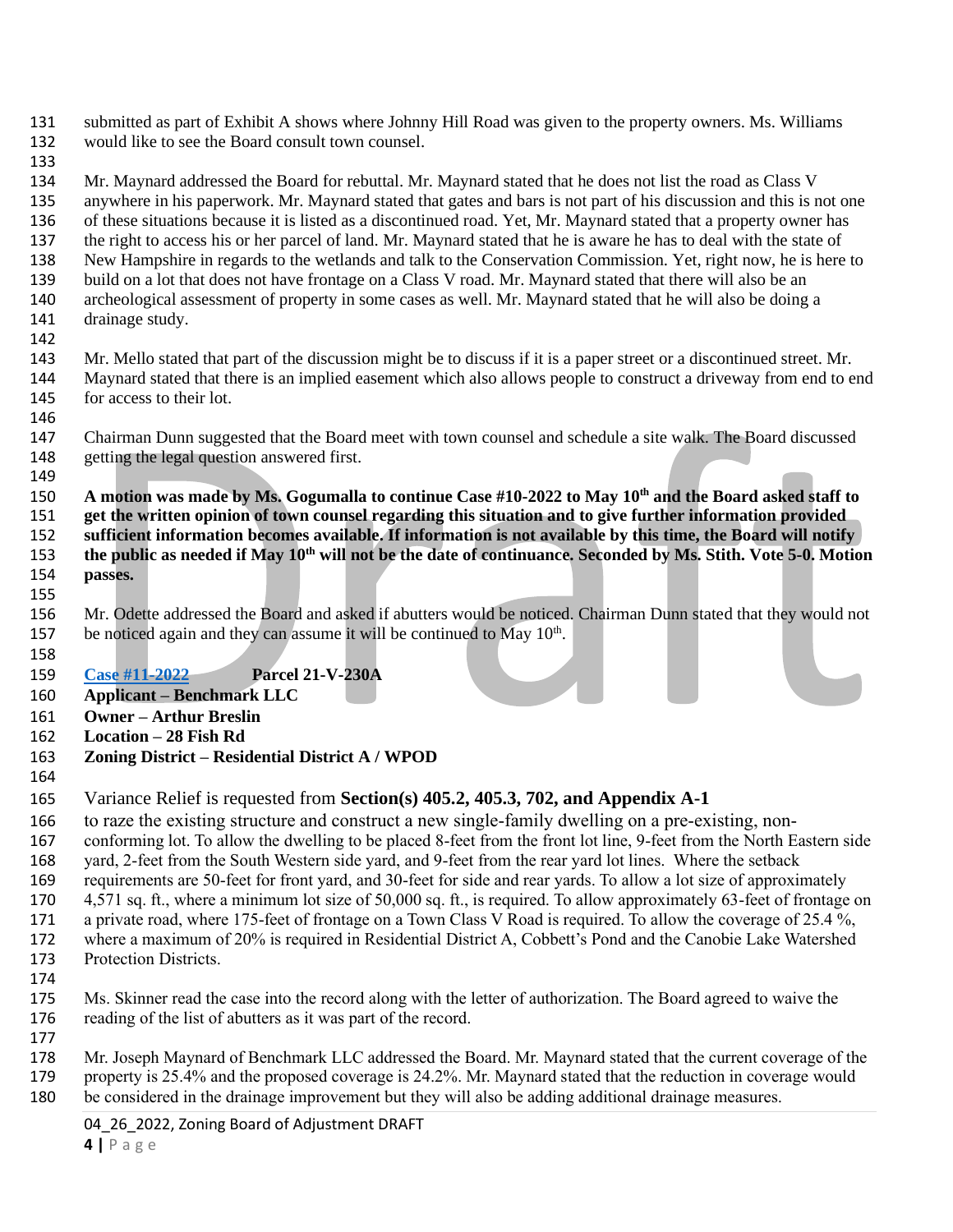- submitted as part of Exhibit A shows where Johnny Hill Road was given to the property owners. Ms. Williams would like to see the Board consult town counsel.
- 

 Mr. Maynard addressed the Board for rebuttal. Mr. Maynard stated that he does not list the road as Class V anywhere in his paperwork. Mr. Maynard stated that gates and bars is not part of his discussion and this is not one of these situations because it is listed as a discontinued road. Yet, Mr. Maynard stated that a property owner has the right to access his or her parcel of land. Mr. Maynard stated that he is aware he has to deal with the state of New Hampshire in regards to the wetlands and talk to the Conservation Commission. Yet, right now, he is here to build on a lot that does not have frontage on a Class V road. Mr. Maynard stated that there will also be an 140 archeological assessment of property in some cases as well. Mr. Maynard stated that he will also be doing a drainage study. drainage study.

 Mr. Mello stated that part of the discussion might be to discuss if it is a paper street or a discontinued street. Mr. Maynard stated that there is an implied easement which also allows people to construct a driveway from end to end for access to their lot.

 Chairman Dunn suggested that the Board meet with town counsel and schedule a site walk. The Board discussed getting the legal question answered first.

**A motion was made by Ms. Gogumalla to continue Case #10-2022 to May 10th and the Board asked staff to get the written opinion of town counsel regarding this situation and to give further information provided sufficient information becomes available. If information is not available by this time, the Board will notify**  153 the public as needed if May 10<sup>th</sup> will not be the date of continuance. Seconded by Ms. Stith. Vote 5-0. Motion **passes.** 

 Mr. Odette addressed the Board and asked if abutters would be noticed. Chairman Dunn stated that they would not 157 be noticed again and they can assume it will be continued to May  $10<sup>th</sup>$ .

- **[Case #11-2022](https://www.windhamnh.gov/DocumentCenter/Index/948) Parcel 21-V-230A**
- **Applicant – Benchmark LLC**
- **Owner – Arthur Breslin**
- **Location – 28 Fish Rd**
- **Zoning District – Residential District A / WPOD**
- Variance Relief is requested from **Section(s) 405.2, 405.3, 702, and Appendix A-1**

 to raze the existing structure and construct a new single-family dwelling on a pre-existing, non-conforming lot. To allow the dwelling to be placed 8-feet from the front lot line, 9-feet from the North Eastern side

 yard, 2-feet from the South Western side yard, and 9-feet from the rear yard lot lines. Where the setback requirements are 50-feet for front yard, and 30-feet for side and rear yards. To allow a lot size of approximately

- 4,571 sq. ft., where a minimum lot size of 50,000 sq. ft., is required. To allow approximately 63-feet of frontage on
- a private road, where 175-feet of frontage on a Town Class V Road is required. To allow the coverage of 25.4 %, where a maximum of 20% is required in Residential District A, Cobbett's Pond and the Canobie Lake Watershed
- Protection Districts.
- 
- 175 Ms. Skinner read the case into the record along with the letter of authorization. The Board agreed to waive the reading of the list of abutters as it was part of the record. reading of the list of abutters as it was part of the record.
- 

 Mr. Joseph Maynard of Benchmark LLC addressed the Board. Mr. Maynard stated that the current coverage of the property is 25.4% and the proposed coverage is 24.2%. Mr. Maynard stated that the reduction in coverage would be considered in the drainage improvement but they will also be adding additional drainage measures.

04 26 2022, Zoning Board of Adjustment DRAFT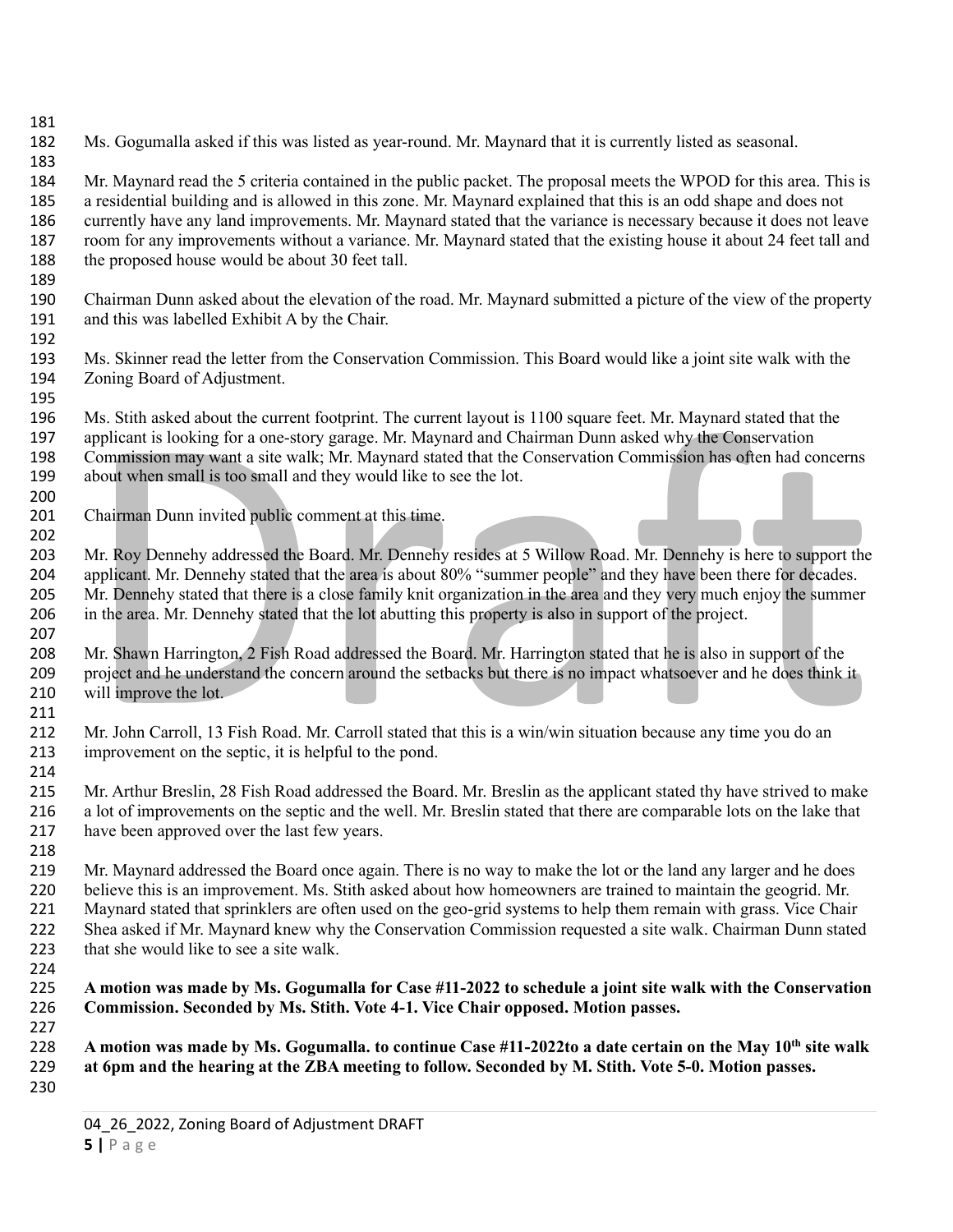Ms. Gogumalla asked if this was listed as year-round. Mr. Maynard that it is currently listed as seasonal.

 Mr. Maynard read the 5 criteria contained in the public packet. The proposal meets the WPOD for this area. This is a residential building and is allowed in this zone. Mr. Maynard explained that this is an odd shape and does not currently have any land improvements. Mr. Maynard stated that the variance is necessary because it does not leave room for any improvements without a variance. Mr. Maynard stated that the existing house it about 24 feet tall and 188 the proposed house would be about 30 feet tall.

189<br>190 190 Chairman Dunn asked about the elevation of the road. Mr. Maynard submitted a picture of the view of the property and this was labelled Exhibit A by the Chair. and this was labelled Exhibit A by the Chair.

- Ms. Skinner read the letter from the Conservation Commission. This Board would like a joint site walk with the Zoning Board of Adjustment.
- Ms. Stith asked about the current footprint. The current layout is 1100 square feet. Mr. Maynard stated that the applicant is looking for a one-story garage. Mr. Maynard and Chairman Dunn asked why the Conservation Commission may want a site walk; Mr. Maynard stated that the Conservation Commission has often had concerns about when small is too small and they would like to see the lot.
- Chairman Dunn invited public comment at this time.

203 Mr. Roy Dennehy addressed the Board. Mr. Dennehy resides at 5 Willow Road. Mr. Dennehy is here to support the applicant. Mr. Dennehy stated that the area is about 80% "summer people" and they have been there for decades. Mr. Dennehy stated that there is a close family knit organization in the area and they very much enjoy the summer in the area. Mr. Dennehy stated that the lot abutting this property is also in support of the project.

- Mr. Shawn Harrington, 2 Fish Road addressed the Board. Mr. Harrington stated that he is also in support of the project and he understand the concern around the setbacks but there is no impact whatsoever and he does think it will improve the lot.
- Mr. John Carroll, 13 Fish Road. Mr. Carroll stated that this is a win/win situation because any time you do an improvement on the septic, it is helpful to the pond.

 Mr. Arthur Breslin, 28 Fish Road addressed the Board. Mr. Breslin as the applicant stated thy have strived to make a lot of improvements on the septic and the well. Mr. Breslin stated that there are comparable lots on the lake that have been approved over the last few years.

219 Mr. Maynard addressed the Board once again. There is no way to make the lot or the land any larger and he does<br>220 believe this is an improvement. Ms. Stith asked about how homeowners are trained to maintain the geogri believe this is an improvement. Ms. Stith asked about how homeowners are trained to maintain the geogrid. Mr. Maynard stated that sprinklers are often used on the geo-grid systems to help them remain with grass. Vice Chair Shea asked if Mr. Maynard knew why the Conservation Commission requested a site walk. Chairman Dunn stated 223 that she would like to see a site walk.

 **A motion was made by Ms. Gogumalla for Case #11-2022 to schedule a joint site walk with the Conservation Commission. Seconded by Ms. Stith. Vote 4-1. Vice Chair opposed. Motion passes.**

 **A motion was made by Ms. Gogumalla. to continue Case #11-2022to a date certain on the May 10th site walk at 6pm and the hearing at the ZBA meeting to follow. Seconded by M. Stith. Vote 5-0. Motion passes.**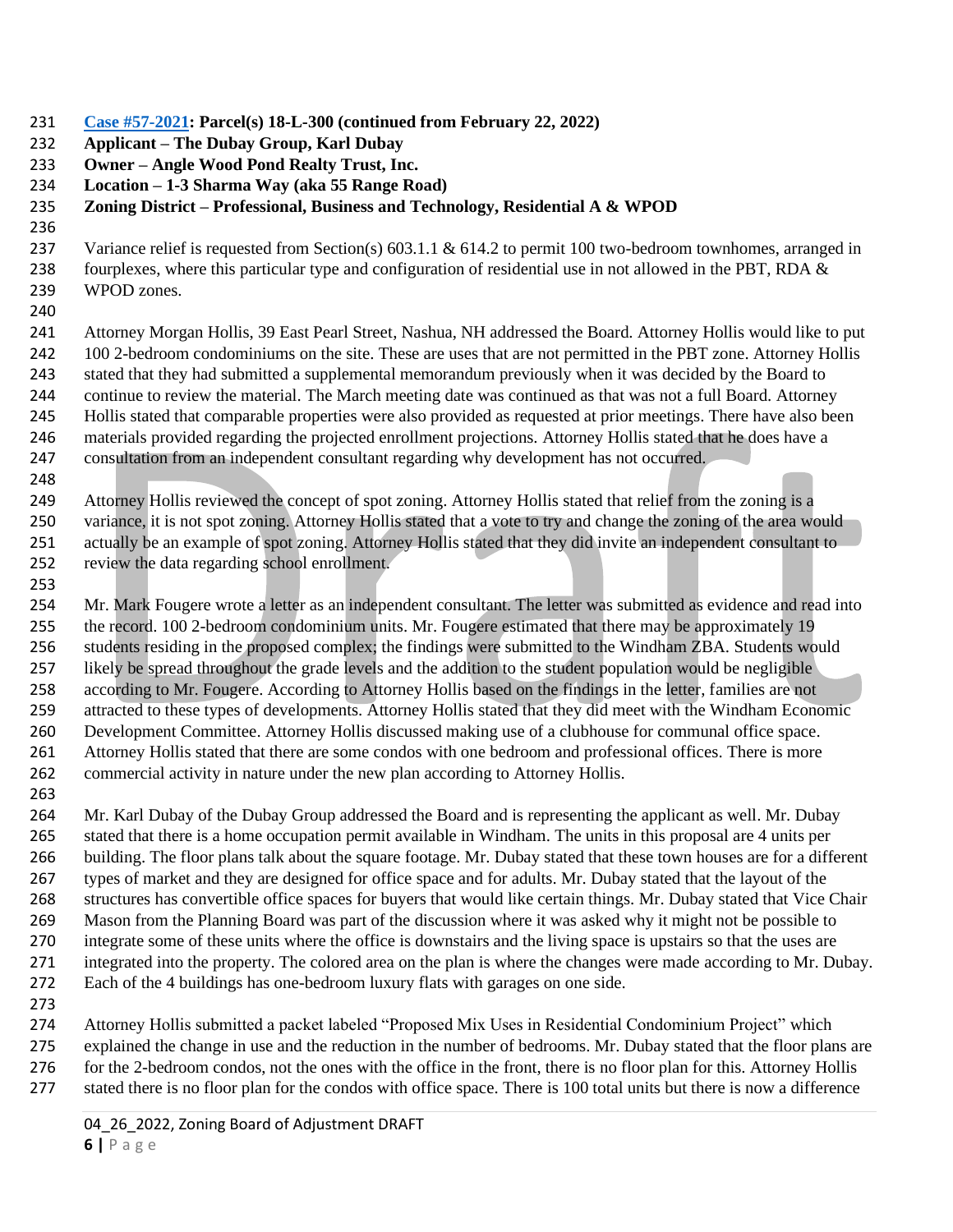**[Case #57-2021:](https://nh-windham.civicplus.com/DocumentCenter/Index/799) Parcel(s) 18-L-300 (continued from February 22, 2022)**

**Applicant – The Dubay Group, Karl Dubay**

**Owner – Angle Wood Pond Realty Trust, Inc.**

**Location – 1-3 Sharma Way (aka 55 Range Road)**

## **Zoning District – Professional, Business and Technology, Residential A & WPOD**

237 Variance relief is requested from Section(s) 603.1.1 & 614.2 to permit 100 two-bedroom townhomes, arranged in fourplexes, where this particular type and configuration of residential use in not allowed in the PBT, RDA & WPOD zones.

 Attorney Morgan Hollis, 39 East Pearl Street, Nashua, NH addressed the Board. Attorney Hollis would like to put 100 2-bedroom condominiums on the site. These are uses that are not permitted in the PBT zone. Attorney Hollis stated that they had submitted a supplemental memorandum previously when it was decided by the Board to continue to review the material. The March meeting date was continued as that was not a full Board. Attorney Hollis stated that comparable properties were also provided as requested at prior meetings. There have also been materials provided regarding the projected enrollment projections. Attorney Hollis stated that he does have a consultation from an independent consultant regarding why development has not occurred.

 Attorney Hollis reviewed the concept of spot zoning. Attorney Hollis stated that relief from the zoning is a variance, it is not spot zoning. Attorney Hollis stated that a vote to try and change the zoning of the area would actually be an example of spot zoning. Attorney Hollis stated that they did invite an independent consultant to review the data regarding school enrollment.

 Mr. Mark Fougere wrote a letter as an independent consultant. The letter was submitted as evidence and read into the record. 100 2-bedroom condominium units. Mr. Fougere estimated that there may be approximately 19 students residing in the proposed complex; the findings were submitted to the Windham ZBA. Students would likely be spread throughout the grade levels and the addition to the student population would be negligible according to Mr. Fougere. According to Attorney Hollis based on the findings in the letter, families are not attracted to these types of developments. Attorney Hollis stated that they did meet with the Windham Economic Development Committee. Attorney Hollis discussed making use of a clubhouse for communal office space. Attorney Hollis stated that there are some condos with one bedroom and professional offices. There is more commercial activity in nature under the new plan according to Attorney Hollis.

 Mr. Karl Dubay of the Dubay Group addressed the Board and is representing the applicant as well. Mr. Dubay stated that there is a home occupation permit available in Windham. The units in this proposal are 4 units per building. The floor plans talk about the square footage. Mr. Dubay stated that these town houses are for a different types of market and they are designed for office space and for adults. Mr. Dubay stated that the layout of the structures has convertible office spaces for buyers that would like certain things. Mr. Dubay stated that Vice Chair Mason from the Planning Board was part of the discussion where it was asked why it might not be possible to integrate some of these units where the office is downstairs and the living space is upstairs so that the uses are integrated into the property. The colored area on the plan is where the changes were made according to Mr. Dubay. Each of the 4 buildings has one-bedroom luxury flats with garages on one side.

 Attorney Hollis submitted a packet labeled "Proposed Mix Uses in Residential Condominium Project" which explained the change in use and the reduction in the number of bedrooms. Mr. Dubay stated that the floor plans are for the 2-bedroom condos, not the ones with the office in the front, there is no floor plan for this. Attorney Hollis stated there is no floor plan for the condos with office space. There is 100 total units but there is now a difference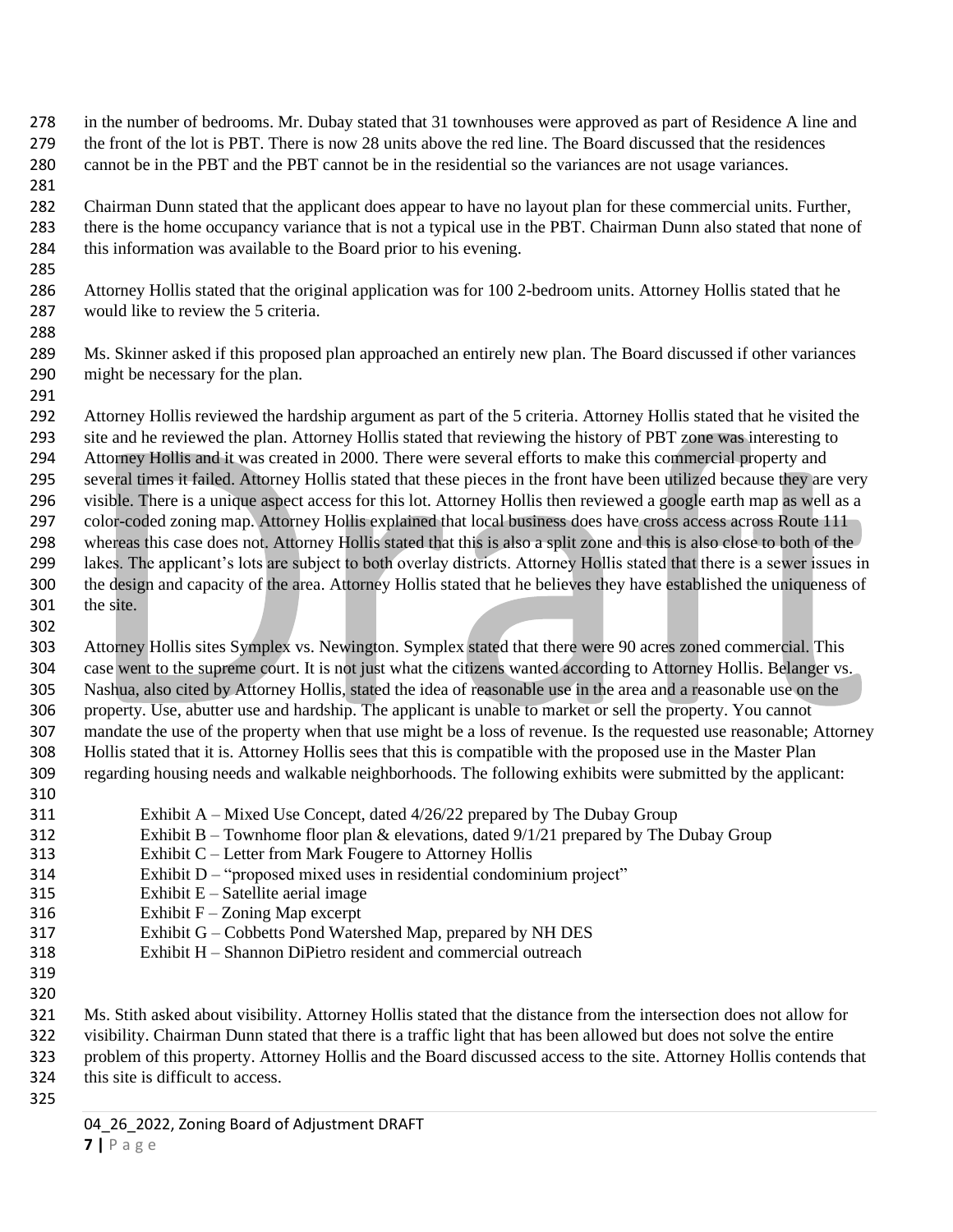in the number of bedrooms. Mr. Dubay stated that 31 townhouses were approved as part of Residence A line and the front of the lot is PBT. There is now 28 units above the red line. The Board discussed that the residences cannot be in the PBT and the PBT cannot be in the residential so the variances are not usage variances.

 Chairman Dunn stated that the applicant does appear to have no layout plan for these commercial units. Further, there is the home occupancy variance that is not a typical use in the PBT. Chairman Dunn also stated that none of this information was available to the Board prior to his evening.

 Attorney Hollis stated that the original application was for 100 2-bedroom units. Attorney Hollis stated that he would like to review the 5 criteria.

 Ms. Skinner asked if this proposed plan approached an entirely new plan. The Board discussed if other variances might be necessary for the plan.

 Attorney Hollis reviewed the hardship argument as part of the 5 criteria. Attorney Hollis stated that he visited the site and he reviewed the plan. Attorney Hollis stated that reviewing the history of PBT zone was interesting to Attorney Hollis and it was created in 2000. There were several efforts to make this commercial property and several times it failed. Attorney Hollis stated that these pieces in the front have been utilized because they are very visible. There is a unique aspect access for this lot. Attorney Hollis then reviewed a google earth map as well as a color-coded zoning map. Attorney Hollis explained that local business does have cross access across Route 111 whereas this case does not. Attorney Hollis stated that this is also a split zone and this is also close to both of the lakes. The applicant's lots are subject to both overlay districts. Attorney Hollis stated that there is a sewer issues in the design and capacity of the area. Attorney Hollis stated that he believes they have established the uniqueness of the site.

 Attorney Hollis sites Symplex vs. Newington. Symplex stated that there were 90 acres zoned commercial. This case went to the supreme court. It is not just what the citizens wanted according to Attorney Hollis. Belanger vs. Nashua, also cited by Attorney Hollis, stated the idea of reasonable use in the area and a reasonable use on the property. Use, abutter use and hardship. The applicant is unable to market or sell the property. You cannot mandate the use of the property when that use might be a loss of revenue. Is the requested use reasonable; Attorney Hollis stated that it is. Attorney Hollis sees that this is compatible with the proposed use in the Master Plan regarding housing needs and walkable neighborhoods. The following exhibits were submitted by the applicant: 

- Exhibit A Mixed Use Concept, dated 4/26/22 prepared by The Dubay Group
- 312 Exhibit B Townhome floor plan & elevations, dated  $9/1/21$  prepared by The Dubay Group
- Exhibit C Letter from Mark Fougere to Attorney Hollis
- Exhibit D "proposed mixed uses in residential condominium project"
- Exhibit E Satellite aerial image
- 316 Exhibit  $F Z$ oning Map excerpt
- Exhibit G Cobbetts Pond Watershed Map, prepared by NH DES
- Exhibit H Shannon DiPietro resident and commercial outreach
- 
- 
- Ms. Stith asked about visibility. Attorney Hollis stated that the distance from the intersection does not allow for

visibility. Chairman Dunn stated that there is a traffic light that has been allowed but does not solve the entire

- problem of this property. Attorney Hollis and the Board discussed access to the site. Attorney Hollis contends that
- this site is difficult to access.
-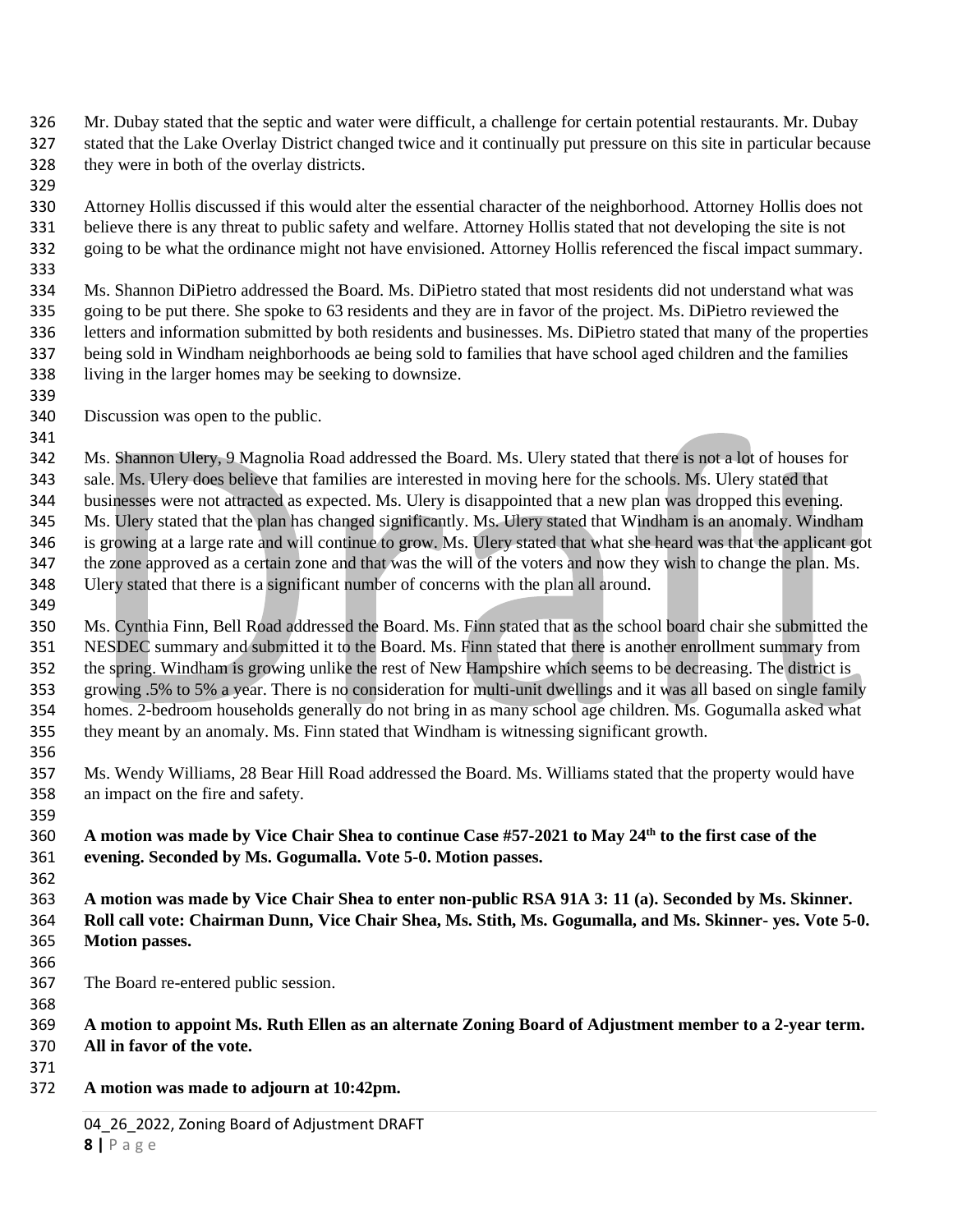Mr. Dubay stated that the septic and water were difficult, a challenge for certain potential restaurants. Mr. Dubay stated that the Lake Overlay District changed twice and it continually put pressure on this site in particular because they were in both of the overlay districts.

 Attorney Hollis discussed if this would alter the essential character of the neighborhood. Attorney Hollis does not believe there is any threat to public safety and welfare. Attorney Hollis stated that not developing the site is not going to be what the ordinance might not have envisioned. Attorney Hollis referenced the fiscal impact summary. 

 Ms. Shannon DiPietro addressed the Board. Ms. DiPietro stated that most residents did not understand what was going to be put there. She spoke to 63 residents and they are in favor of the project. Ms. DiPietro reviewed the letters and information submitted by both residents and businesses. Ms. DiPietro stated that many of the properties being sold in Windham neighborhoods ae being sold to families that have school aged children and the families living in the larger homes may be seeking to downsize.

- Discussion was open to the public.
- Ms. Shannon Ulery, 9 Magnolia Road addressed the Board. Ms. Ulery stated that there is not a lot of houses for sale. Ms. Ulery does believe that families are interested in moving here for the schools. Ms. Ulery stated that businesses were not attracted as expected. Ms. Ulery is disappointed that a new plan was dropped this evening. Ms. Ulery stated that the plan has changed significantly. Ms. Ulery stated that Windham is an anomaly. Windham is growing at a large rate and will continue to grow. Ms. Ulery stated that what she heard was that the applicant got the zone approved as a certain zone and that was the will of the voters and now they wish to change the plan. Ms. Ulery stated that there is a significant number of concerns with the plan all around.
- Ms. Cynthia Finn, Bell Road addressed the Board. Ms. Finn stated that as the school board chair she submitted the NESDEC summary and submitted it to the Board. Ms. Finn stated that there is another enrollment summary from the spring. Windham is growing unlike the rest of New Hampshire which seems to be decreasing. The district is growing .5% to 5% a year. There is no consideration for multi-unit dwellings and it was all based on single family homes. 2-bedroom households generally do not bring in as many school age children. Ms. Gogumalla asked what they meant by an anomaly. Ms. Finn stated that Windham is witnessing significant growth.
- Ms. Wendy Williams, 28 Bear Hill Road addressed the Board. Ms. Williams stated that the property would have an impact on the fire and safety.

**A motion was made by Vice Chair Shea to continue Case #57-2021 to May 24th to the first case of the evening. Seconded by Ms. Gogumalla. Vote 5-0. Motion passes.** 

- **A motion was made by Vice Chair Shea to enter non-public RSA 91A 3: 11 (a). Seconded by Ms. Skinner. Roll call vote: Chairman Dunn, Vice Chair Shea, Ms. Stith, Ms. Gogumalla, and Ms. Skinner- yes. Vote 5-0. Motion passes.**
- 

The Board re-entered public session.

 **A motion to appoint Ms. Ruth Ellen as an alternate Zoning Board of Adjustment member to a 2-year term. All in favor of the vote.**

- 
- **A motion was made to adjourn at 10:42pm.**

04 26 2022, Zoning Board of Adjustment DRAFT **|** P a g e